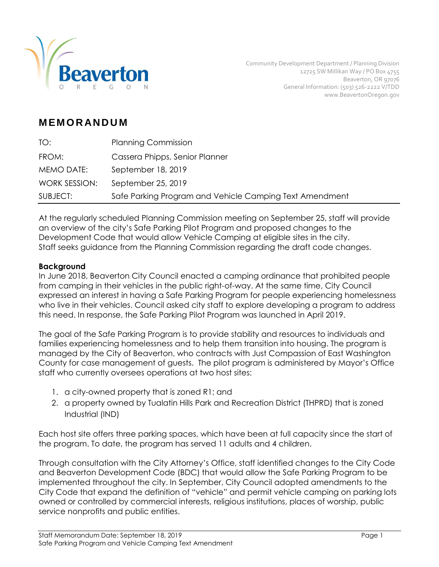

Community Development Department / Planning Division 12725 SW Millikan Way / PO Box 4755 Beaverton, OR 97076 General Information: (503) 526-2222 V/TDD www.BeavertonOregon.gov

# **M EM O R AN D U M**

| TO:           | <b>Planning Commission</b>                              |
|---------------|---------------------------------------------------------|
| FROM:         | Cassera Phipps, Senior Planner                          |
| MEMO DATE:    | September 18, 2019                                      |
| WORK SESSION: | September 25, 2019                                      |
| SUBJECT:      | Safe Parking Program and Vehicle Camping Text Amendment |

At the regularly scheduled Planning Commission meeting on September 25, staff will provide an overview of the city's Safe Parking Pilot Program and proposed changes to the Development Code that would allow Vehicle Camping at eligible sites in the city. Staff seeks guidance from the Planning Commission regarding the draft code changes.

### **Background**

In June 2018, Beaverton City Council enacted a camping ordinance that prohibited people from camping in their vehicles in the public right-of-way. At the same time, City Council expressed an interest in having a Safe Parking Program for people experiencing homelessness who live in their vehicles. Council asked city staff to explore developing a program to address this need. In response, the Safe Parking Pilot Program was launched in April 2019.

The goal of the Safe Parking Program is to provide stability and resources to individuals and families experiencing homelessness and to help them transition into housing. The program is managed by the City of Beaverton, who contracts with Just Compassion of East Washington County for case management of guests. The pilot program is administered by Mayor's Office staff who currently oversees operations at two host sites:

- 1. a city-owned property that is zoned R1; and
- 2. a property owned by Tualatin Hills Park and Recreation District (THPRD) that is zoned Industrial (IND)

Each host site offers three parking spaces, which have been at full capacity since the start of the program. To date, the program has served 11 adults and 4 children.

Through consultation with the City Attorney's Office, staff identified changes to the City Code and Beaverton Development Code (BDC) that would allow the Safe Parking Program to be implemented throughout the city. In September, City Council adopted amendments to the City Code that expand the definition of "vehicle" and permit vehicle camping on parking lots owned or controlled by commercial interests, religious institutions, places of worship, public service nonprofits and public entities.